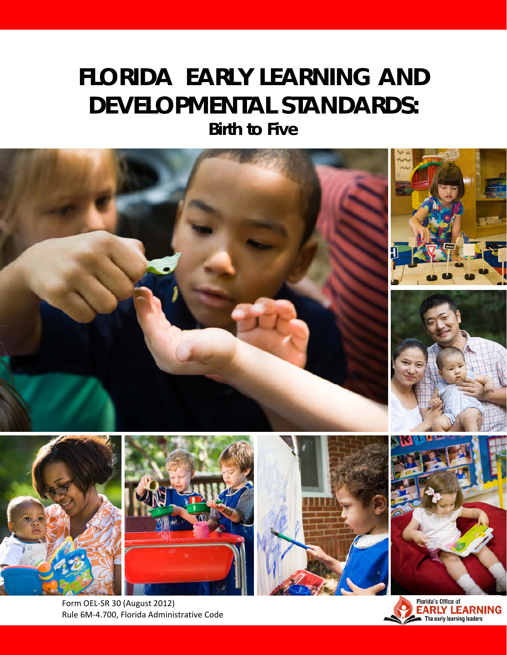# **FLORIDA EARLY LEARNING AND DEVELOPMENTAL STANDARDS:**

*Birth to Five* 



Form OEL‐SR 30 (August 2012) Rule 6M‐4.700, Florida Administrative Code

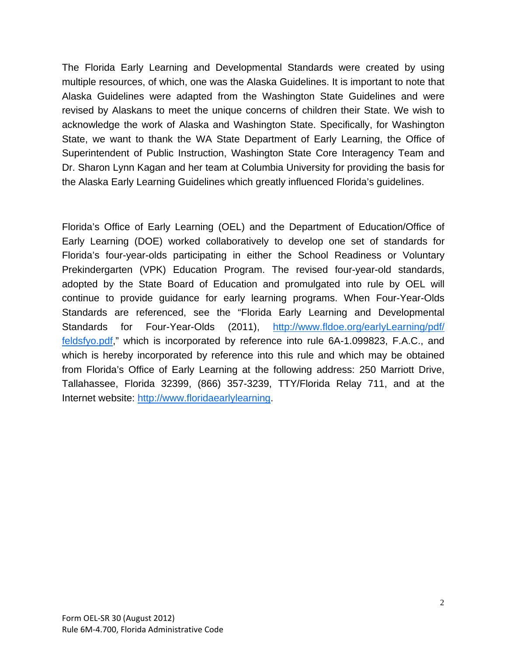The Florida Early Learning and Developmental Standards were created by using multiple resources, of which, one was the Alaska Guidelines. It is important to note that Alaska Guidelines were adapted from the Washington State Guidelines and were revised by Alaskans to meet the unique concerns of children their State. We wish to acknowledge the work of Alaska and Washington State. Specifically, for Washington State, we want to thank the WA State Department of Early Learning, the Office of Superintendent of Public Instruction, Washington State Core Interagency Team and Dr. Sharon Lynn Kagan and her team at Columbia University for providing the basis for the Alaska Early Learning Guidelines which greatly influenced Florida's guidelines.

Florida's Office of Early Learning (OEL) and the Department of Education/Office of Early Learning (DOE) worked collaboratively to develop one set of standards for Florida's four-year-olds participating in either the School Readiness or Voluntary Prekindergarten (VPK) Education Program. The revised four-year-old standards, adopted by the State Board of Education and promulgated into rule by OEL will continue to provide guidance for early learning programs. When Four-Year-Olds Standards are referenced, see the "Florida Early Learning and Developmental Standards for Four-Year-Olds (2011), http://www.fldoe.org/earlyLearning/pdf/ feldsfyo.pdf," which is incorporated by reference into rule 6A-1.099823, F.A.C., and which is hereby incorporated by reference into this rule and which may be obtained from Florida's Office of Early Learning at the following address: 250 Marriott Drive, Tallahassee, Florida 32399, (866) 357-3239, TTY/Florida Relay 711, and at the Internet website: http://www.floridaearlylearning.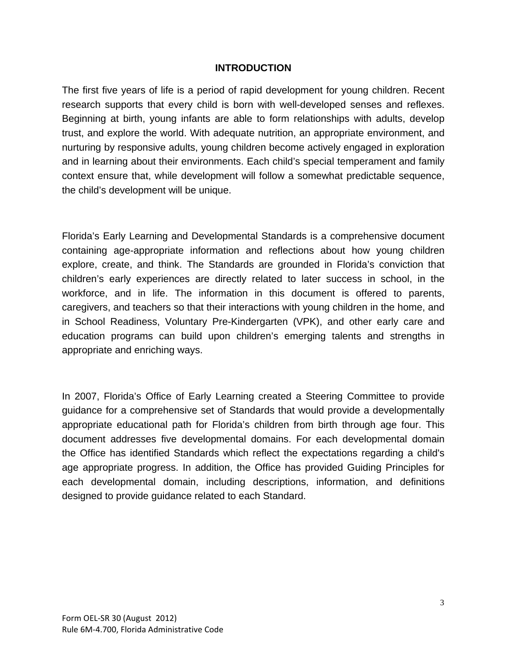#### **INTRODUCTION**

The first five years of life is a period of rapid development for young children. Recent research supports that every child is born with well-developed senses and reflexes. Beginning at birth, young infants are able to form relationships with adults, develop trust, and explore the world. With adequate nutrition, an appropriate environment, and nurturing by responsive adults, young children become actively engaged in exploration and in learning about their environments. Each child's special temperament and family context ensure that, while development will follow a somewhat predictable sequence, the child's development will be unique.

Florida's Early Learning and Developmental Standards is a comprehensive document containing age-appropriate information and reflections about how young children explore, create, and think. The Standards are grounded in Florida's conviction that children's early experiences are directly related to later success in school, in the workforce, and in life. The information in this document is offered to parents, caregivers, and teachers so that their interactions with young children in the home, and in School Readiness, Voluntary Pre-Kindergarten (VPK), and other early care and education programs can build upon children's emerging talents and strengths in appropriate and enriching ways.

In 2007, Florida's Office of Early Learning created a Steering Committee to provide guidance for a comprehensive set of Standards that would provide a developmentally appropriate educational path for Florida's children from birth through age four. This document addresses five developmental domains. For each developmental domain the Office has identified Standards which reflect the expectations regarding a child's age appropriate progress. In addition, the Office has provided Guiding Principles for each developmental domain, including descriptions, information, and definitions designed to provide guidance related to each Standard.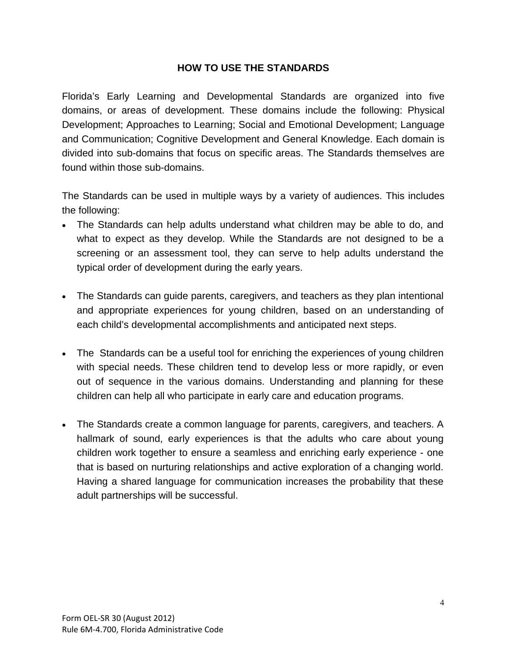#### **HOW TO USE THE STANDARDS**

Florida's Early Learning and Developmental Standards are organized into five domains, or areas of development. These domains include the following: Physical Development; Approaches to Learning; Social and Emotional Development; Language and Communication; Cognitive Development and General Knowledge. Each domain is divided into sub-domains that focus on specific areas. The Standards themselves are found within those sub-domains.

The Standards can be used in multiple ways by a variety of audiences. This includes the following:

- The Standards can help adults understand what children may be able to do, and what to expect as they develop. While the Standards are not designed to be a screening or an assessment tool, they can serve to help adults understand the typical order of development during the early years.
- The Standards can guide parents, caregivers, and teachers as they plan intentional and appropriate experiences for young children, based on an understanding of each child's developmental accomplishments and anticipated next steps.
- The Standards can be a useful tool for enriching the experiences of young children with special needs. These children tend to develop less or more rapidly, or even out of sequence in the various domains. Understanding and planning for these children can help all who participate in early care and education programs.
- The Standards create a common language for parents, caregivers, and teachers. A hallmark of sound, early experiences is that the adults who care about young children work together to ensure a seamless and enriching early experience - one that is based on nurturing relationships and active exploration of a changing world. Having a shared language for communication increases the probability that these adult partnerships will be successful.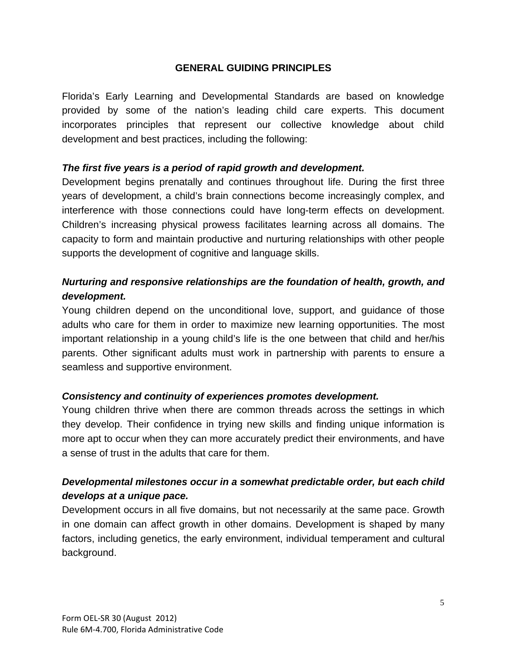#### **GENERAL GUIDING PRINCIPLES**

Florida's Early Learning and Developmental Standards are based on knowledge provided by some of the nation's leading child care experts. This document incorporates principles that represent our collective knowledge about child development and best practices, including the following:

#### *The first five years is a period of rapid growth and development.*

Development begins prenatally and continues throughout life. During the first three years of development, a child's brain connections become increasingly complex, and interference with those connections could have long-term effects on development. Children's increasing physical prowess facilitates learning across all domains. The capacity to form and maintain productive and nurturing relationships with other people supports the development of cognitive and language skills.

#### *Nurturing and responsive relationships are the foundation of health, growth, and development.*

Young children depend on the unconditional love, support, and guidance of those adults who care for them in order to maximize new learning opportunities. The most important relationship in a young child's life is the one between that child and her/his parents. Other significant adults must work in partnership with parents to ensure a seamless and supportive environment.

#### *Consistency and continuity of experiences promotes development.*

Young children thrive when there are common threads across the settings in which they develop. Their confidence in trying new skills and finding unique information is more apt to occur when they can more accurately predict their environments, and have a sense of trust in the adults that care for them.

#### *Developmental milestones occur in a somewhat predictable order, but each child develops at a unique pace.*

Development occurs in all five domains, but not necessarily at the same pace. Growth in one domain can affect growth in other domains. Development is shaped by many factors, including genetics, the early environment, individual temperament and cultural background.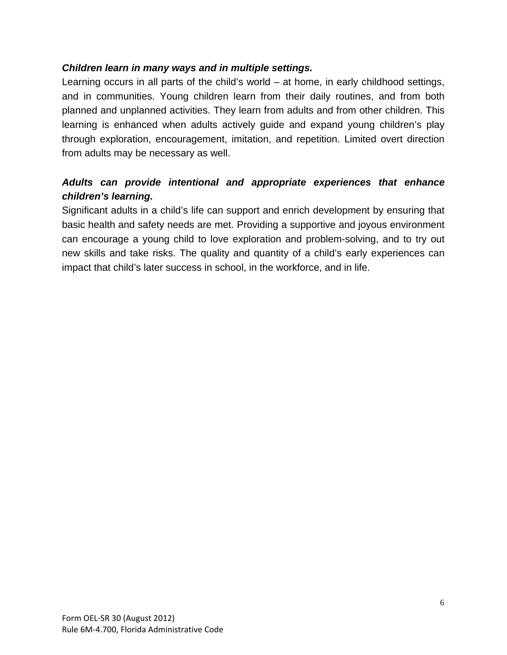#### *Children learn in many ways and in multiple settings.*

Learning occurs in all parts of the child's world – at home, in early childhood settings, and in communities. Young children learn from their daily routines, and from both planned and unplanned activities. They learn from adults and from other children. This learning is enhanced when adults actively guide and expand young children's play through exploration, encouragement, imitation, and repetition. Limited overt direction from adults may be necessary as well.

#### *Adults can provide intentional and appropriate experiences that enhance children's learning.*

Significant adults in a child's life can support and enrich development by ensuring that basic health and safety needs are met. Providing a supportive and joyous environment can encourage a young child to love exploration and problem-solving, and to try out new skills and take risks. The quality and quantity of a child's early experiences can impact that child's later success in school, in the workforce, and in life.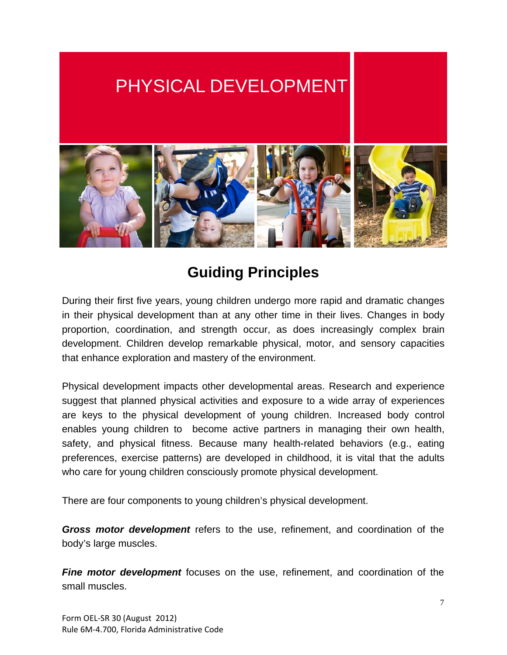# PHYSICAL DEVELOPMENT



## **Guiding Principles**

During their first five years, young children undergo more rapid and dramatic changes in their physical development than at any other time in their lives. Changes in body proportion, coordination, and strength occur, as does increasingly complex brain development. Children develop remarkable physical, motor, and sensory capacities that enhance exploration and mastery of the environment.

Physical development impacts other developmental areas. Research and experience suggest that planned physical activities and exposure to a wide array of experiences are keys to the physical development of young children. Increased body control enables young children to become active partners in managing their own health, safety, and physical fitness. Because many health-related behaviors (e.g., eating preferences, exercise patterns) are developed in childhood, it is vital that the adults who care for young children consciously promote physical development.

There are four components to young children's physical development.

*Gross motor development* refers to the use, refinement, and coordination of the body's large muscles.

*Fine motor development* focuses on the use, refinement, and coordination of the small muscles.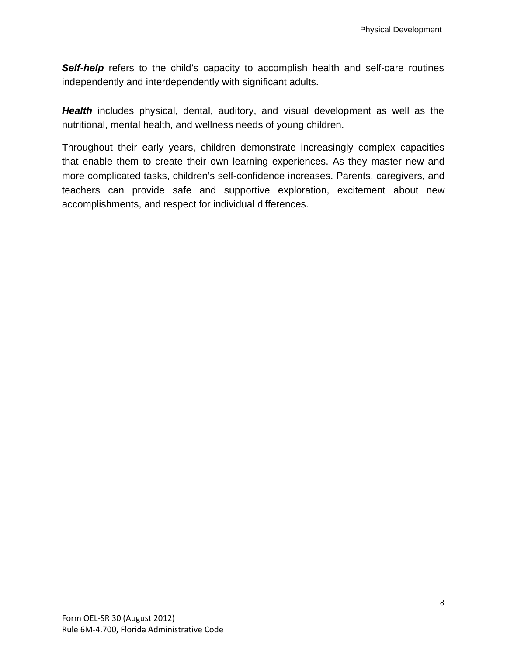**Self-help** refers to the child's capacity to accomplish health and self-care routines independently and interdependently with significant adults.

Health includes physical, dental, auditory, and visual development as well as the nutritional, mental health, and wellness needs of young children.

Throughout their early years, children demonstrate increasingly complex capacities that enable them to create their own learning experiences. As they master new and more complicated tasks, children's self-confidence increases. Parents, caregivers, and teachers can provide safe and supportive exploration, excitement about new accomplishments, and respect for individual differences.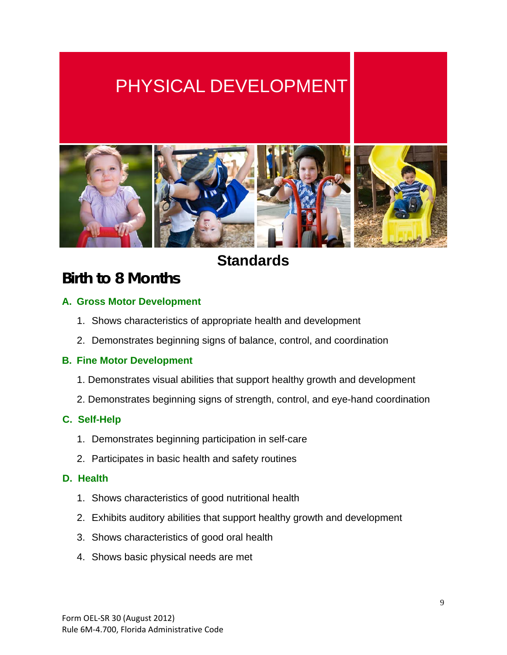# PHYSICAL DEVELOPMENT



### **Standards**

### **Birth to 8 Months**

#### **A. Gross Motor Development**

- 1. Shows characteristics of appropriate health and development
- 2. Demonstrates beginning signs of balance, control, and coordination

#### **B. Fine Motor Development**

- 1. Demonstrates visual abilities that support healthy growth and development
- 2. Demonstrates beginning signs of strength, control, and eye-hand coordination

#### **C. Self-Help**

- 1. Demonstrates beginning participation in self-care
- 2. Participates in basic health and safety routines

#### **D. Health**

- 1. Shows characteristics of good nutritional health
- 2. Exhibits auditory abilities that support healthy growth and development
- 3. Shows characteristics of good oral health
- 4. Shows basic physical needs are met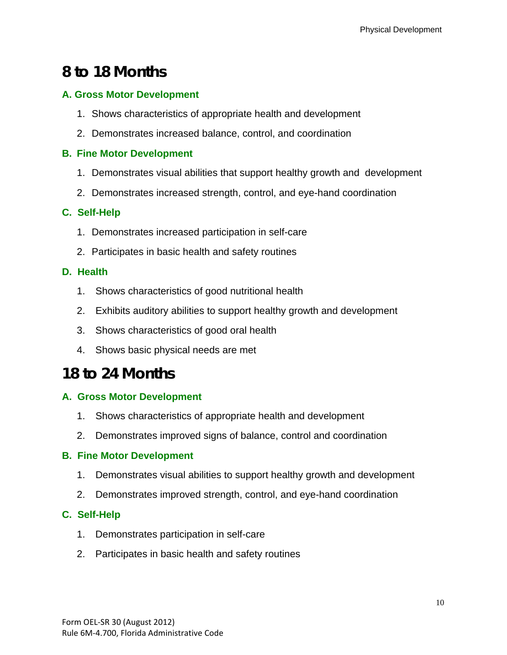## **8 to 18 Months**

#### **A. Gross Motor Development**

- 1. Shows characteristics of appropriate health and development
- 2. Demonstrates increased balance, control, and coordination

#### **B. Fine Motor Development**

- 1. Demonstrates visual abilities that support healthy growth and development
- 2. Demonstrates increased strength, control, and eye-hand coordination

#### **C. Self-Help**

- 1. Demonstrates increased participation in self-care
- 2. Participates in basic health and safety routines

#### **D. Health**

- 1. Shows characteristics of good nutritional health
- 2. Exhibits auditory abilities to support healthy growth and development
- 3. Shows characteristics of good oral health
- 4. Shows basic physical needs are met

### **18 to 24 Months**

#### **A. Gross Motor Development**

- 1. Shows characteristics of appropriate health and development
- 2. Demonstrates improved signs of balance, control and coordination

#### **B. Fine Motor Development**

- 1. Demonstrates visual abilities to support healthy growth and development
- 2. Demonstrates improved strength, control, and eye-hand coordination

#### **C. Self-Help**

- 1. Demonstrates participation in self-care
- 2. Participates in basic health and safety routines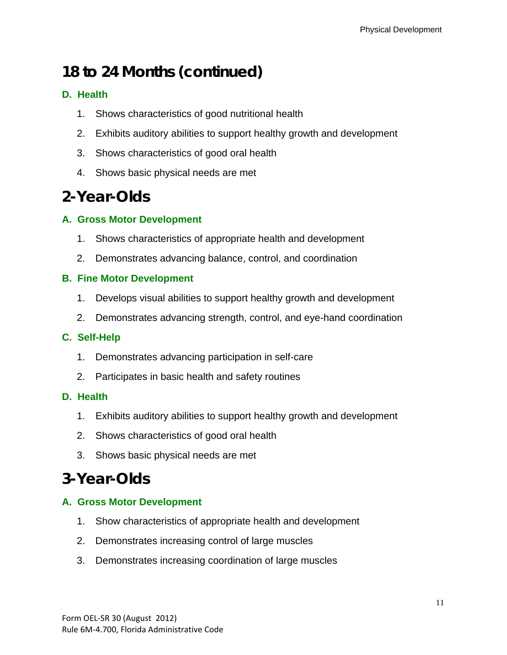## **18 to 24 Months (continued)**

#### **D. Health**

- 1. Shows characteristics of good nutritional health
- 2. Exhibits auditory abilities to support healthy growth and development
- 3. Shows characteristics of good oral health
- 4. Shows basic physical needs are met

## **2-Year-Olds**

#### **A. Gross Motor Development**

- 1. Shows characteristics of appropriate health and development
- 2. Demonstrates advancing balance, control, and coordination

#### **B. Fine Motor Development**

- 1. Develops visual abilities to support healthy growth and development
- 2. Demonstrates advancing strength, control, and eye-hand coordination

#### **C. Self-Help**

- 1. Demonstrates advancing participation in self-care
- 2. Participates in basic health and safety routines

#### **D. Health**

- 1. Exhibits auditory abilities to support healthy growth and development
- 2. Shows characteristics of good oral health
- 3. Shows basic physical needs are met

## **3-Year-Olds**

#### **A. Gross Motor Development**

- 1. Show characteristics of appropriate health and development
- 2. Demonstrates increasing control of large muscles
- 3. Demonstrates increasing coordination of large muscles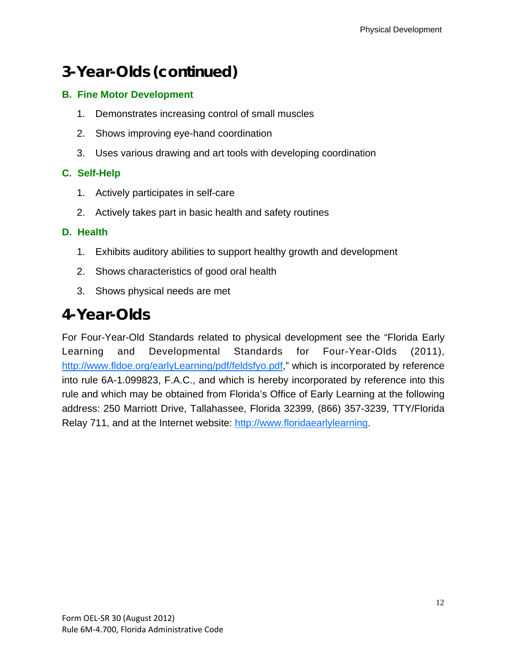## **3-Year-Olds (continued)**

#### **B. Fine Motor Development**

- 1. Demonstrates increasing control of small muscles
- 2. Shows improving eye-hand coordination
- 3. Uses various drawing and art tools with developing coordination

#### **C. Self-Help**

- 1. Actively participates in self-care
- 2. Actively takes part in basic health and safety routines

#### **D. Health**

- 1. Exhibits auditory abilities to support healthy growth and development
- 2. Shows characteristics of good oral health
- 3. Shows physical needs are met

### **4-Year-Olds**

For Four-Year-Old Standards related to physical development see the "Florida Early Learning and Developmental Standards for Four-Year-Olds (2011), http://www.fldoe.org/earlyLearning/pdf/feldsfyo.pdf," which is incorporated by reference into rule 6A-1.099823, F.A.C., and which is hereby incorporated by reference into this rule and which may be obtained from Florida's Office of Early Learning at the following address: 250 Marriott Drive, Tallahassee, Florida 32399, (866) 357-3239, TTY/Florida Relay 711, and at the Internet website: http://www.floridaearlylearning.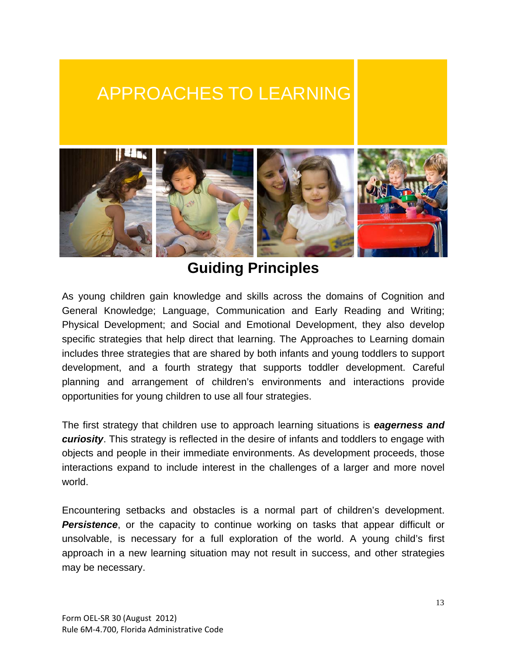## APPROACHES TO LEARNING



### **Guiding Principles**

As young children gain knowledge and skills across the domains of Cognition and General Knowledge; Language, Communication and Early Reading and Writing; Physical Development; and Social and Emotional Development, they also develop specific strategies that help direct that learning. The Approaches to Learning domain includes three strategies that are shared by both infants and young toddlers to support development, and a fourth strategy that supports toddler development. Careful planning and arrangement of children's environments and interactions provide opportunities for young children to use all four strategies.

The first strategy that children use to approach learning situations is *eagerness and curiosity*. This strategy is reflected in the desire of infants and toddlers to engage with objects and people in their immediate environments. As development proceeds, those interactions expand to include interest in the challenges of a larger and more novel world.

Encountering setbacks and obstacles is a normal part of children's development. *Persistence*, or the capacity to continue working on tasks that appear difficult or unsolvable, is necessary for a full exploration of the world. A young child's first approach in a new learning situation may not result in success, and other strategies may be necessary.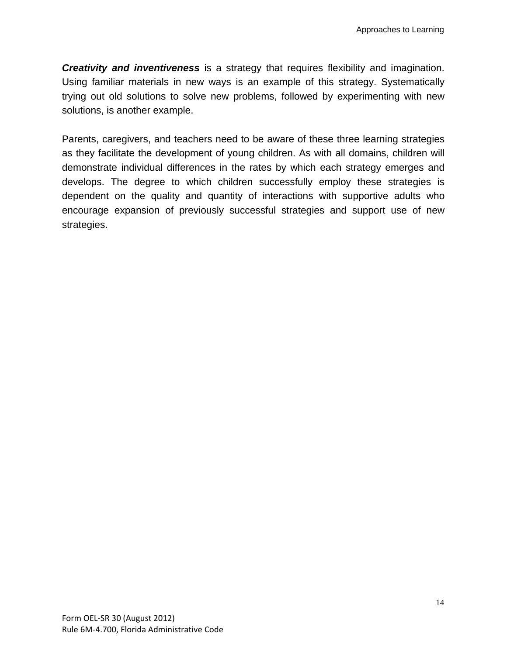*Creativity and inventiveness* is a strategy that requires flexibility and imagination. Using familiar materials in new ways is an example of this strategy. Systematically trying out old solutions to solve new problems, followed by experimenting with new solutions, is another example.

Parents, caregivers, and teachers need to be aware of these three learning strategies as they facilitate the development of young children. As with all domains, children will demonstrate individual differences in the rates by which each strategy emerges and develops. The degree to which children successfully employ these strategies is dependent on the quality and quantity of interactions with supportive adults who encourage expansion of previously successful strategies and support use of new strategies.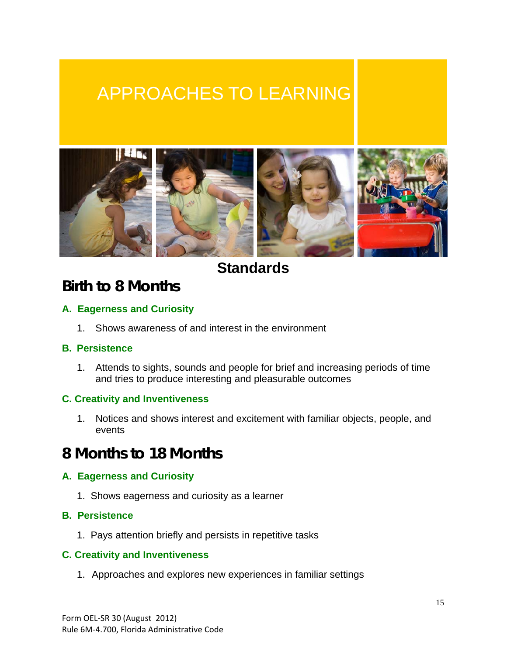# APPROACHES TO LEARNING



**Standards**

### **Birth to 8 Months**

#### **A. Eagerness and Curiosity**

1. Shows awareness of and interest in the environment

#### **B. Persistence**

1. Attends to sights, sounds and people for brief and increasing periods of time and tries to produce interesting and pleasurable outcomes

#### **C. Creativity and Inventiveness**

1. Notices and shows interest and excitement with familiar objects, people, and events

### **8 Months to 18 Months**

#### **A. Eagerness and Curiosity**

1. Shows eagerness and curiosity as a learner

#### **B. Persistence**

1. Pays attention briefly and persists in repetitive tasks

#### **C. Creativity and Inventiveness**

1. Approaches and explores new experiences in familiar settings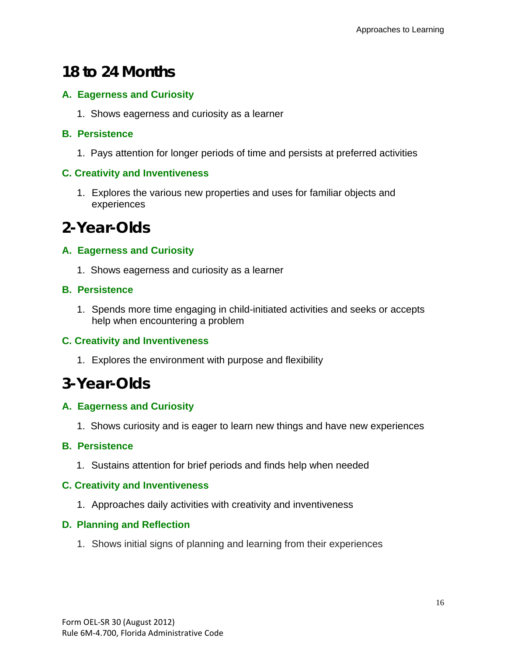## **18 to 24 Months**

#### **A. Eagerness and Curiosity**

1. Shows eagerness and curiosity as a learner

#### **B. Persistence**

1. Pays attention for longer periods of time and persists at preferred activities

#### **C. Creativity and Inventiveness**

1. Explores the various new properties and uses for familiar objects and experiences

## **2-Year-Olds**

#### **A. Eagerness and Curiosity**

1. Shows eagerness and curiosity as a learner

#### **B. Persistence**

1. Spends more time engaging in child-initiated activities and seeks or accepts help when encountering a problem

#### **C. Creativity and Inventiveness**

1. Explores the environment with purpose and flexibility

### **3-Year-Olds**

#### **A. Eagerness and Curiosity**

1. Shows curiosity and is eager to learn new things and have new experiences

#### **B. Persistence**

1. Sustains attention for brief periods and finds help when needed

#### **C. Creativity and Inventiveness**

1. Approaches daily activities with creativity and inventiveness

#### **D. Planning and Reflection**

1. Shows initial signs of planning and learning from their experiences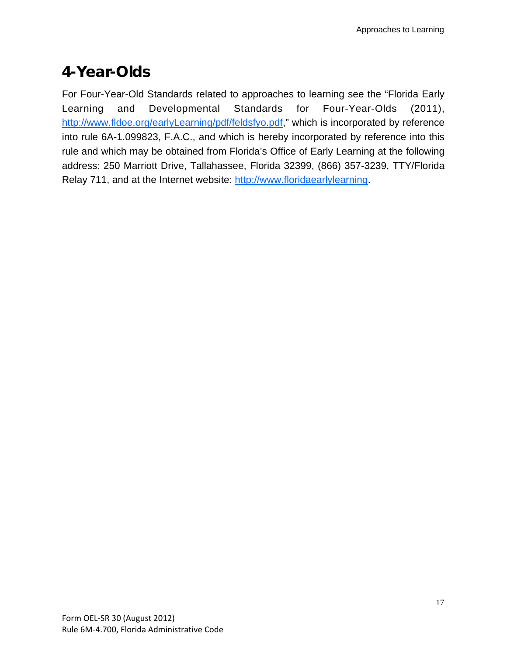## **4-Year-Olds**

For Four-Year-Old Standards related to approaches to learning see the "Florida Early Learning and Developmental Standards for Four-Year-Olds (2011), http://www.fldoe.org/earlyLearning/pdf/feldsfyo.pdf," which is incorporated by reference into rule 6A-1.099823, F.A.C., and which is hereby incorporated by reference into this rule and which may be obtained from Florida's Office of Early Learning at the following address: 250 Marriott Drive, Tallahassee, Florida 32399, (866) 357-3239, TTY/Florida Relay 711, and at the Internet website: http://www.floridaearlylearning.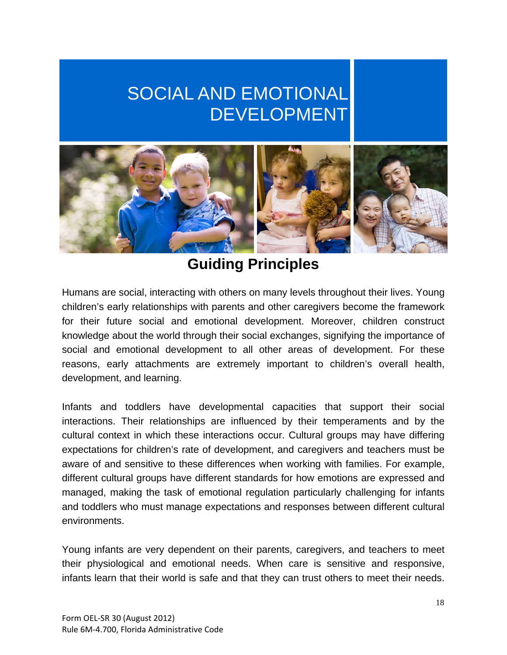# SOCIAL AND EMOTIONAL DEVELOPMENT



## **Guiding Principles**

Humans are social, interacting with others on many levels throughout their lives. Young children's early relationships with parents and other caregivers become the framework for their future social and emotional development. Moreover, children construct knowledge about the world through their social exchanges, signifying the importance of social and emotional development to all other areas of development. For these reasons, early attachments are extremely important to children's overall health, development, and learning.

Infants and toddlers have developmental capacities that support their social interactions. Their relationships are influenced by their temperaments and by the cultural context in which these interactions occur. Cultural groups may have differing expectations for children's rate of development, and caregivers and teachers must be aware of and sensitive to these differences when working with families. For example, different cultural groups have different standards for how emotions are expressed and managed, making the task of emotional regulation particularly challenging for infants and toddlers who must manage expectations and responses between different cultural environments.

Young infants are very dependent on their parents, caregivers, and teachers to meet their physiological and emotional needs. When care is sensitive and responsive, infants learn that their world is safe and that they can trust others to meet their needs.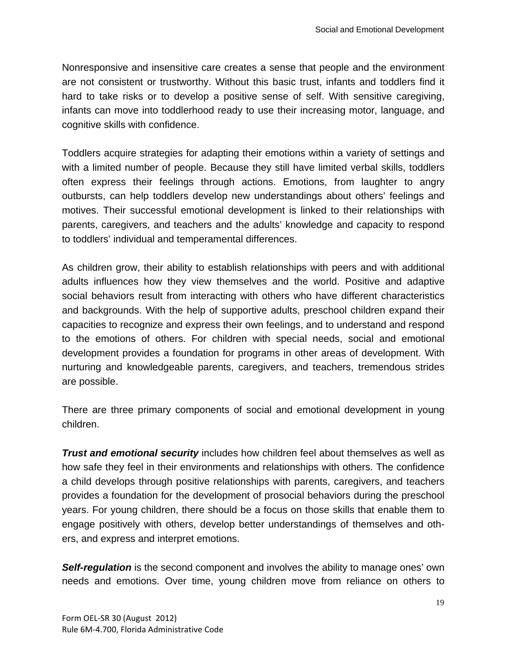Nonresponsive and insensitive care creates a sense that people and the environment are not consistent or trustworthy. Without this basic trust, infants and toddlers find it hard to take risks or to develop a positive sense of self. With sensitive caregiving, infants can move into toddlerhood ready to use their increasing motor, language, and cognitive skills with confidence.

Toddlers acquire strategies for adapting their emotions within a variety of settings and with a limited number of people. Because they still have limited verbal skills, toddlers often express their feelings through actions. Emotions, from laughter to angry outbursts, can help toddlers develop new understandings about others' feelings and motives. Their successful emotional development is linked to their relationships with parents, caregivers, and teachers and the adults' knowledge and capacity to respond to toddlers' individual and temperamental differences.

As children grow, their ability to establish relationships with peers and with additional adults influences how they view themselves and the world. Positive and adaptive social behaviors result from interacting with others who have different characteristics and backgrounds. With the help of supportive adults, preschool children expand their capacities to recognize and express their own feelings, and to understand and respond to the emotions of others. For children with special needs, social and emotional development provides a foundation for programs in other areas of development. With nurturing and knowledgeable parents, caregivers, and teachers, tremendous strides are possible.

There are three primary components of social and emotional development in young children.

*Trust and emotional security* includes how children feel about themselves as well as how safe they feel in their environments and relationships with others. The confidence a child develops through positive relationships with parents, caregivers, and teachers provides a foundation for the development of prosocial behaviors during the preschool years. For young children, there should be a focus on those skills that enable them to engage positively with others, develop better understandings of themselves and others, and express and interpret emotions.

**Self-regulation** is the second component and involves the ability to manage ones' own needs and emotions. Over time, young children move from reliance on others to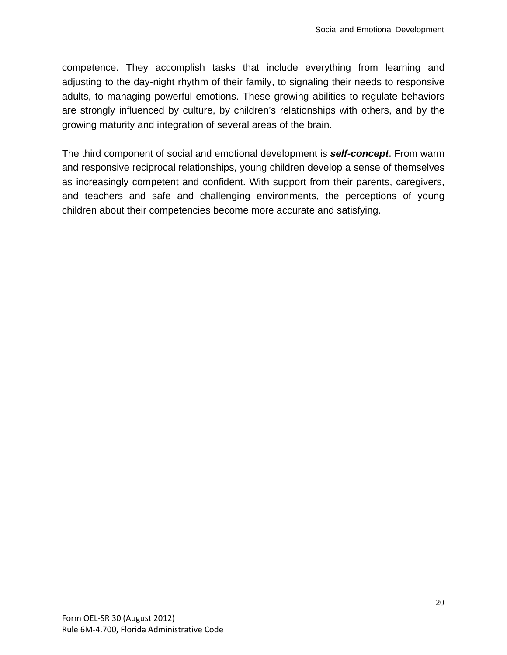competence. They accomplish tasks that include everything from learning and adjusting to the day-night rhythm of their family, to signaling their needs to responsive adults, to managing powerful emotions. These growing abilities to regulate behaviors are strongly influenced by culture, by children's relationships with others, and by the growing maturity and integration of several areas of the brain.

The third component of social and emotional development is *self-concept*. From warm and responsive reciprocal relationships, young children develop a sense of themselves as increasingly competent and confident. With support from their parents, caregivers, and teachers and safe and challenging environments, the perceptions of young children about their competencies become more accurate and satisfying.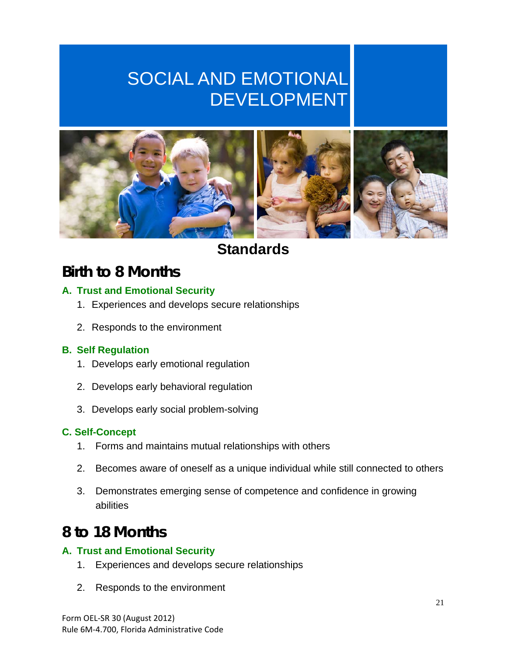# SOCIAL AND EMOTIONAL DEVELOPMENT



### **Standards**

## **Birth to 8 Months**

#### **A. Trust and Emotional Security**

- 1. Experiences and develops secure relationships
- 2. Responds to the environment

#### **B. Self Regulation**

- 1. Develops early emotional regulation
- 2. Develops early behavioral regulation
- 3. Develops early social problem-solving

#### **C. Self-Concept**

- 1. Forms and maintains mutual relationships with others
- 2. Becomes aware of oneself as a unique individual while still connected to others
- 3. Demonstrates emerging sense of competence and confidence in growing abilities

### **8 to 18 Months**

#### **A. Trust and Emotional Security**

- 1. Experiences and develops secure relationships
- 2. Responds to the environment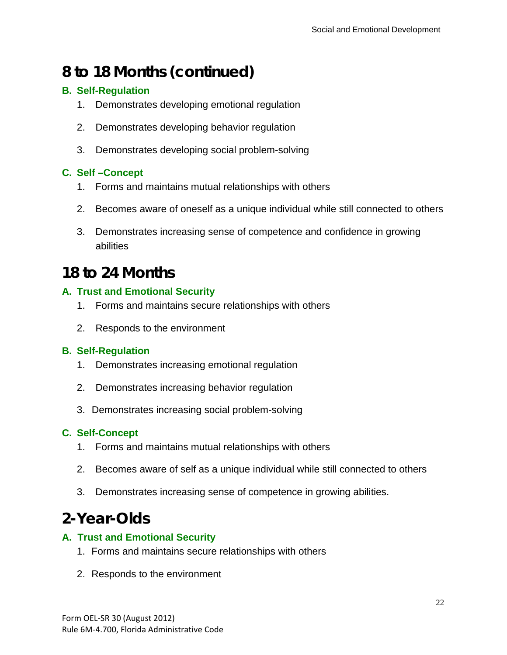## **8 to 18 Months (continued)**

#### **B. Self-Regulation**

- 1. Demonstrates developing emotional regulation
- 2. Demonstrates developing behavior regulation
- 3. Demonstrates developing social problem-solving

#### **C. Self –Concept**

- 1. Forms and maintains mutual relationships with others
- 2. Becomes aware of oneself as a unique individual while still connected to others
- 3. Demonstrates increasing sense of competence and confidence in growing abilities

### **18 to 24 Months**

#### **A. Trust and Emotional Security**

- 1. Forms and maintains secure relationships with others
- 2. Responds to the environment

#### **B. Self-Regulation**

- 1. Demonstrates increasing emotional regulation
- 2. Demonstrates increasing behavior regulation
- 3. Demonstrates increasing social problem-solving

#### **C. Self-Concept**

- 1. Forms and maintains mutual relationships with others
- 2. Becomes aware of self as a unique individual while still connected to others
- 3. Demonstrates increasing sense of competence in growing abilities.

## **2-Year-Olds**

#### **A. Trust and Emotional Security**

- 1. Forms and maintains secure relationships with others
- 2. Responds to the environment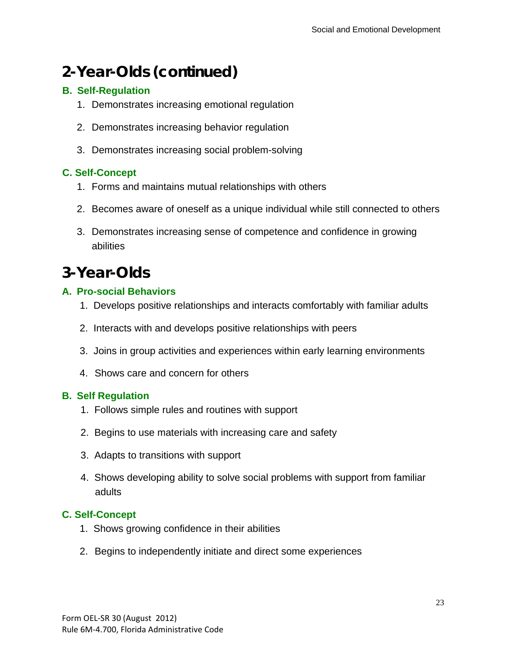## **2-Year-Olds (continued)**

#### **B. Self-Regulation**

- 1. Demonstrates increasing emotional regulation
- 2. Demonstrates increasing behavior regulation
- 3. Demonstrates increasing social problem-solving

#### **C. Self-Concept**

- 1. Forms and maintains mutual relationships with others
- 2. Becomes aware of oneself as a unique individual while still connected to others
- 3. Demonstrates increasing sense of competence and confidence in growing abilities

## **3-Year-Olds**

#### **A. Pro-social Behaviors**

- 1. Develops positive relationships and interacts comfortably with familiar adults
- 2. Interacts with and develops positive relationships with peers
- 3. Joins in group activities and experiences within early learning environments
- 4. Shows care and concern for others

#### **B. Self Regulation**

- 1. Follows simple rules and routines with support
- 2. Begins to use materials with increasing care and safety
- 3. Adapts to transitions with support
- 4. Shows developing ability to solve social problems with support from familiar adults

#### **C. Self-Concept**

- 1. Shows growing confidence in their abilities
- 2. Begins to independently initiate and direct some experiences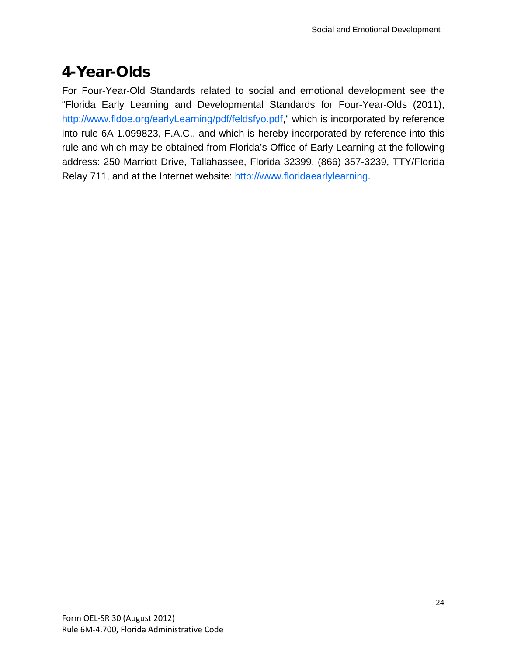## **4-Year-Olds**

For Four-Year-Old Standards related to social and emotional development see the "Florida Early Learning and Developmental Standards for Four-Year-Olds (2011), http://www.fldoe.org/earlyLearning/pdf/feldsfyo.pdf," which is incorporated by reference into rule 6A-1.099823, F.A.C., and which is hereby incorporated by reference into this rule and which may be obtained from Florida's Office of Early Learning at the following address: 250 Marriott Drive, Tallahassee, Florida 32399, (866) 357-3239, TTY/Florida Relay 711, and at the Internet website: http://www.floridaearlylearning.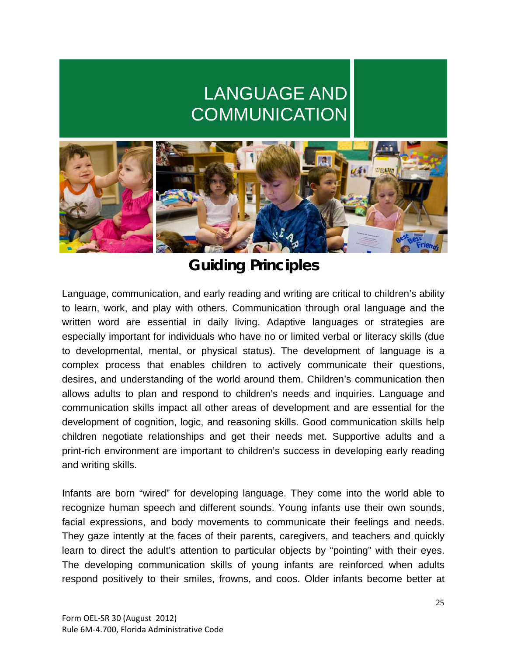# LANGUAGE AND **COMMUNICATION**



## **Guiding Principles**

Language, communication, and early reading and writing are critical to children's ability to learn, work, and play with others. Communication through oral language and the written word are essential in daily living. Adaptive languages or strategies are especially important for individuals who have no or limited verbal or literacy skills (due to developmental, mental, or physical status). The development of language is a complex process that enables children to actively communicate their questions, desires, and understanding of the world around them. Children's communication then allows adults to plan and respond to children's needs and inquiries. Language and communication skills impact all other areas of development and are essential for the development of cognition, logic, and reasoning skills. Good communication skills help children negotiate relationships and get their needs met. Supportive adults and a print-rich environment are important to children's success in developing early reading and writing skills.

Infants are born "wired" for developing language. They come into the world able to recognize human speech and different sounds. Young infants use their own sounds, facial expressions, and body movements to communicate their feelings and needs. They gaze intently at the faces of their parents, caregivers, and teachers and quickly learn to direct the adult's attention to particular objects by "pointing" with their eyes. The developing communication skills of young infants are reinforced when adults respond positively to their smiles, frowns, and coos. Older infants become better at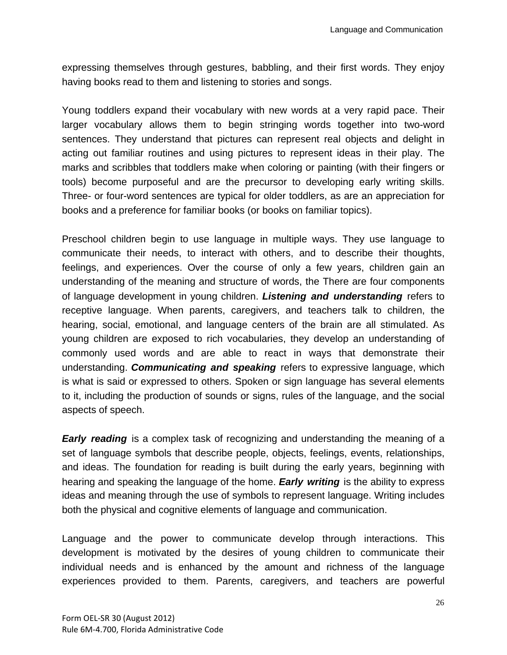expressing themselves through gestures, babbling, and their first words. They enjoy having books read to them and listening to stories and songs.

Young toddlers expand their vocabulary with new words at a very rapid pace. Their larger vocabulary allows them to begin stringing words together into two-word sentences. They understand that pictures can represent real objects and delight in acting out familiar routines and using pictures to represent ideas in their play. The marks and scribbles that toddlers make when coloring or painting (with their fingers or tools) become purposeful and are the precursor to developing early writing skills. Three- or four-word sentences are typical for older toddlers, as are an appreciation for books and a preference for familiar books (or books on familiar topics).

Preschool children begin to use language in multiple ways. They use language to communicate their needs, to interact with others, and to describe their thoughts, feelings, and experiences. Over the course of only a few years, children gain an understanding of the meaning and structure of words, the There are four components of language development in young children. *Listening and understanding* refers to receptive language. When parents, caregivers, and teachers talk to children, the hearing, social, emotional, and language centers of the brain are all stimulated. As young children are exposed to rich vocabularies, they develop an understanding of commonly used words and are able to react in ways that demonstrate their understanding. *Communicating and speaking* refers to expressive language, which is what is said or expressed to others. Spoken or sign language has several elements to it, including the production of sounds or signs, rules of the language, and the social aspects of speech.

*Early reading* is a complex task of recognizing and understanding the meaning of a set of language symbols that describe people, objects, feelings, events, relationships, and ideas. The foundation for reading is built during the early years, beginning with hearing and speaking the language of the home. *Early writing* is the ability to express ideas and meaning through the use of symbols to represent language. Writing includes both the physical and cognitive elements of language and communication.

Language and the power to communicate develop through interactions. This development is motivated by the desires of young children to communicate their individual needs and is enhanced by the amount and richness of the language experiences provided to them. Parents, caregivers, and teachers are powerful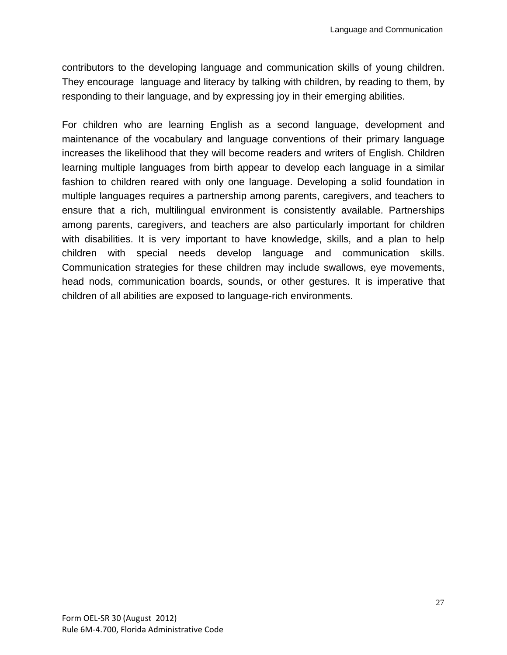contributors to the developing language and communication skills of young children. They encourage language and literacy by talking with children, by reading to them, by responding to their language, and by expressing joy in their emerging abilities.

For children who are learning English as a second language, development and maintenance of the vocabulary and language conventions of their primary language increases the likelihood that they will become readers and writers of English. Children learning multiple languages from birth appear to develop each language in a similar fashion to children reared with only one language. Developing a solid foundation in multiple languages requires a partnership among parents, caregivers, and teachers to ensure that a rich, multilingual environment is consistently available. Partnerships among parents, caregivers, and teachers are also particularly important for children with disabilities. It is very important to have knowledge, skills, and a plan to help children with special needs develop language and communication skills. Communication strategies for these children may include swallows, eye movements, head nods, communication boards, sounds, or other gestures. It is imperative that children of all abilities are exposed to language-rich environments.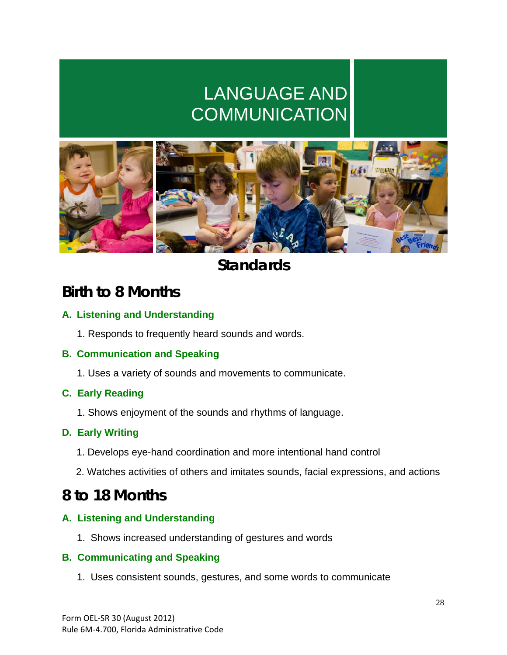# LANGUAGE AND **COMMUNICATION**



## **Standards**

### **Birth to 8 Months**

#### **A. Listening and Understanding**

1. Responds to frequently heard sounds and words.

#### **B. Communication and Speaking**

1. Uses a variety of sounds and movements to communicate.

#### **C. Early Reading**

1. Shows enjoyment of the sounds and rhythms of language.

#### **D. Early Writing**

- 1. Develops eye-hand coordination and more intentional hand control
- 2. Watches activities of others and imitates sounds, facial expressions, and actions

### **8 to 18 Months**

#### **A. Listening and Understanding**

1. Shows increased understanding of gestures and words

#### **B. Communicating and Speaking**

1. Uses consistent sounds, gestures, and some words to communicate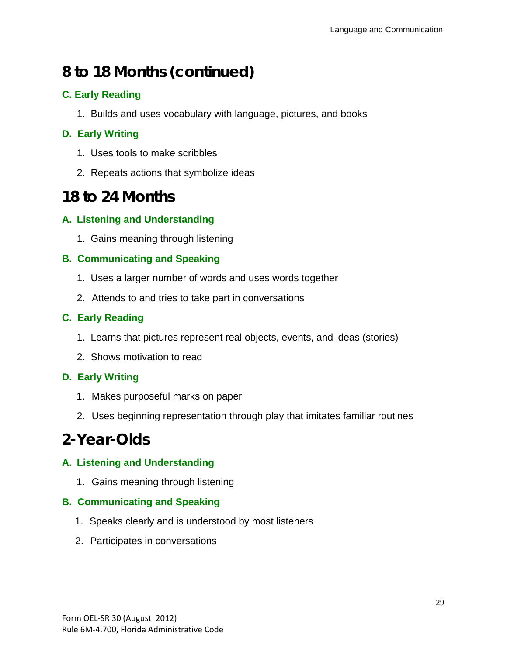## **8 to 18 Months (continued)**

#### **C. Early Reading**

1. Builds and uses vocabulary with language, pictures, and books

#### **D. Early Writing**

- 1. Uses tools to make scribbles
- 2. Repeats actions that symbolize ideas

### **18 to 24 Months**

#### **A. Listening and Understanding**

1. Gains meaning through listening

#### **B. Communicating and Speaking**

- 1. Uses a larger number of words and uses words together
- 2. Attends to and tries to take part in conversations

#### **C. Early Reading**

- 1. Learns that pictures represent real objects, events, and ideas (stories)
- 2. Shows motivation to read

#### **D. Early Writing**

- 1. Makes purposeful marks on paper
- 2. Uses beginning representation through play that imitates familiar routines

### **2-Year-Olds**

#### **A. Listening and Understanding**

1. Gains meaning through listening

#### **B. Communicating and Speaking**

- 1. Speaks clearly and is understood by most listeners
- 2. Participates in conversations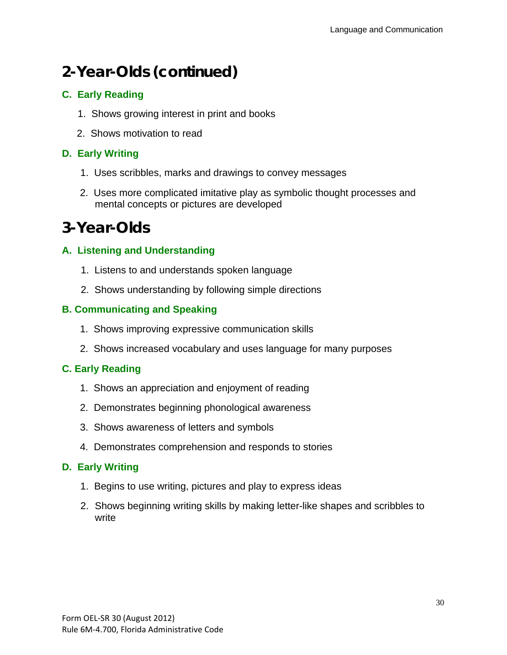## **2-Year-Olds (continued)**

#### **C. Early Reading**

- 1. Shows growing interest in print and books
- 2. Shows motivation to read

#### **D. Early Writing**

- 1. Uses scribbles, marks and drawings to convey messages
- 2. Uses more complicated imitative play as symbolic thought processes and mental concepts or pictures are developed

## **3-Year-Olds**

#### **A. Listening and Understanding**

- 1. Listens to and understands spoken language
- 2. Shows understanding by following simple directions

#### **B. Communicating and Speaking**

- 1. Shows improving expressive communication skills
- 2. Shows increased vocabulary and uses language for many purposes

#### **C. Early Reading**

- 1. Shows an appreciation and enjoyment of reading
- 2. Demonstrates beginning phonological awareness
- 3. Shows awareness of letters and symbols
- 4. Demonstrates comprehension and responds to stories

#### **D. Early Writing**

- 1. Begins to use writing, pictures and play to express ideas
- 2. Shows beginning writing skills by making letter-like shapes and scribbles to write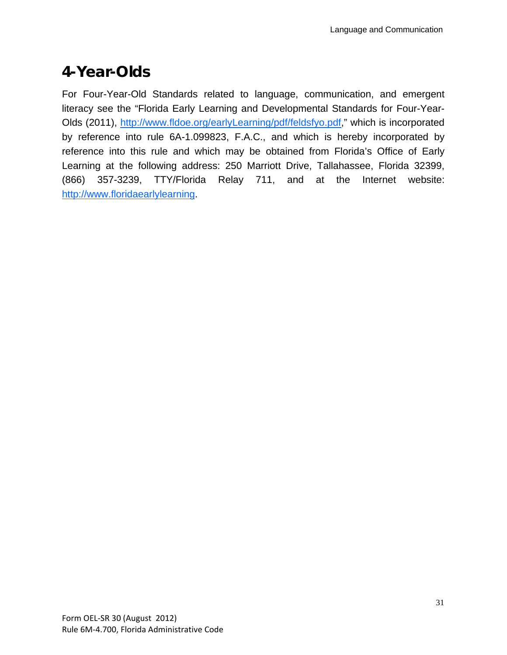## **4-Year-Olds**

For Four-Year-Old Standards related to language, communication, and emergent literacy see the "Florida Early Learning and Developmental Standards for Four-Year-Olds (2011), http://www.fldoe.org/earlyLearning/pdf/feldsfyo.pdf," which is incorporated by reference into rule 6A-1.099823, F.A.C., and which is hereby incorporated by reference into this rule and which may be obtained from Florida's Office of Early Learning at the following address: 250 Marriott Drive, Tallahassee, Florida 32399, (866) 357-3239, TTY/Florida Relay 711, and at the Internet website: http://www.floridaearlylearning.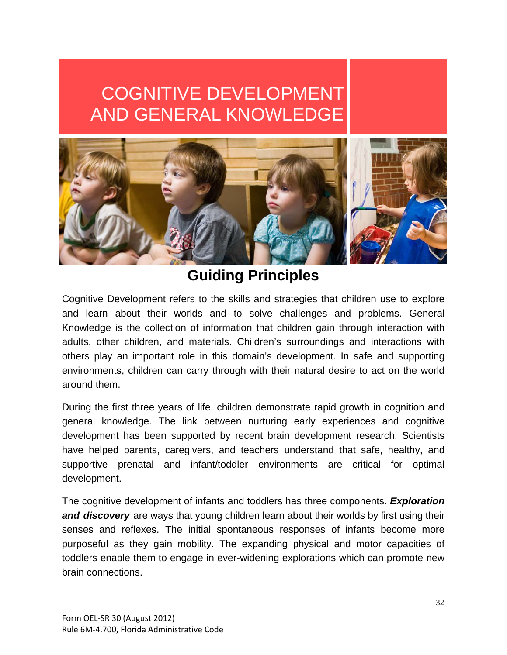# COGNITIVE DEVELOPMENT AND GENERAL KNOWLEDGE



### **Guiding Principles**

Cognitive Development refers to the skills and strategies that children use to explore and learn about their worlds and to solve challenges and problems. General Knowledge is the collection of information that children gain through interaction with adults, other children, and materials. Children's surroundings and interactions with others play an important role in this domain's development. In safe and supporting environments, children can carry through with their natural desire to act on the world around them.

During the first three years of life, children demonstrate rapid growth in cognition and general knowledge. The link between nurturing early experiences and cognitive development has been supported by recent brain development research. Scientists have helped parents, caregivers, and teachers understand that safe, healthy, and supportive prenatal and infant/toddler environments are critical for optimal development.

The cognitive development of infants and toddlers has three components. *Exploration and discovery* are ways that young children learn about their worlds by first using their senses and reflexes. The initial spontaneous responses of infants become more purposeful as they gain mobility. The expanding physical and motor capacities of toddlers enable them to engage in ever-widening explorations which can promote new brain connections.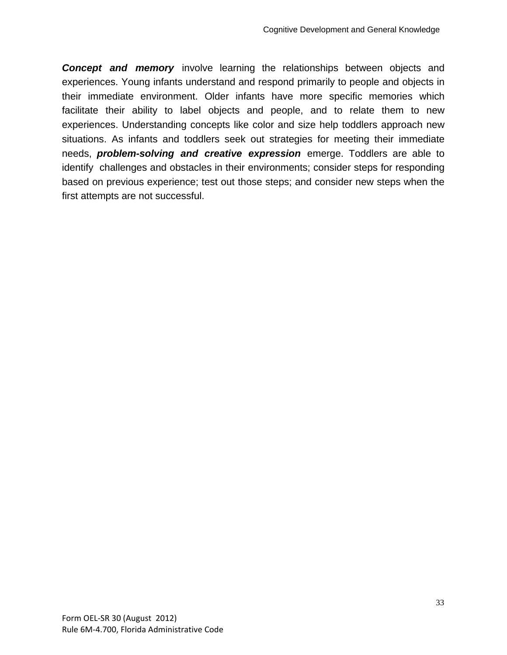**Concept and memory** involve learning the relationships between objects and experiences. Young infants understand and respond primarily to people and objects in their immediate environment. Older infants have more specific memories which facilitate their ability to label objects and people, and to relate them to new experiences. Understanding concepts like color and size help toddlers approach new situations. As infants and toddlers seek out strategies for meeting their immediate needs, *problem-solving and creative expression* emerge. Toddlers are able to identify challenges and obstacles in their environments; consider steps for responding based on previous experience; test out those steps; and consider new steps when the first attempts are not successful.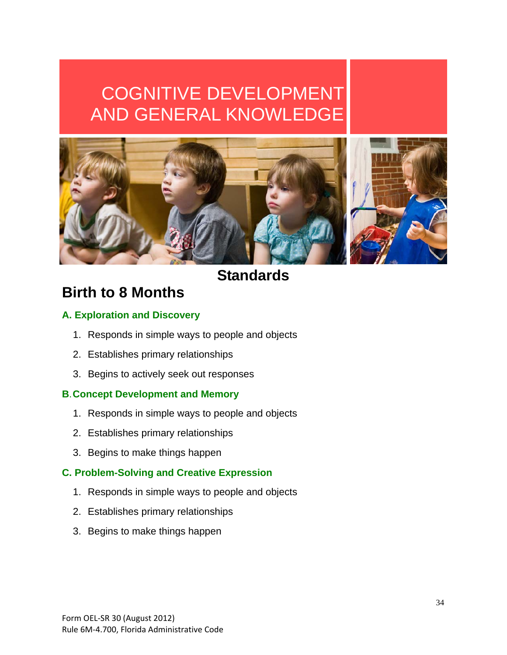# COGNITIVE DEVELOPMENT AND GENERAL KNOWLEDGE



### **Standards**

## **Birth to 8 Months**

#### **A. Exploration and Discovery**

- 1. Responds in simple ways to people and objects
- 2. Establishes primary relationships
- 3. Begins to actively seek out responses

#### **B**. **Concept Development and Memory**

- 1. Responds in simple ways to people and objects
- 2. Establishes primary relationships
- 3. Begins to make things happen

#### **C. Problem-Solving and Creative Expression**

- 1. Responds in simple ways to people and objects
- 2. Establishes primary relationships
- 3. Begins to make things happen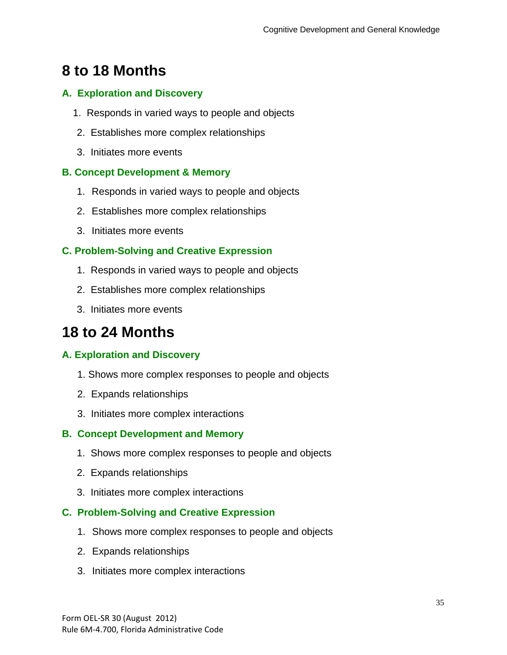## **8 to 18 Months**

#### **A. Exploration and Discovery**

- 1. Responds in varied ways to people and objects
- 2. Establishes more complex relationships
- 3. Initiates more events

#### **B. Concept Development & Memory**

- 1. Responds in varied ways to people and objects
- 2. Establishes more complex relationships
- 3. Initiates more events

#### **C. Problem-Solving and Creative Expression**

- 1. Responds in varied ways to people and objects
- 2. Establishes more complex relationships
- 3. Initiates more events

## **18 to 24 Months**

#### **A. Exploration and Discovery**

- 1. Shows more complex responses to people and objects
- 2. Expands relationships
- 3. Initiates more complex interactions

#### **B. Concept Development and Memory**

- 1. Shows more complex responses to people and objects
- 2. Expands relationships
- 3. Initiates more complex interactions

#### **C. Problem-Solving and Creative Expression**

- 1. Shows more complex responses to people and objects
- 2. Expands relationships
- 3. Initiates more complex interactions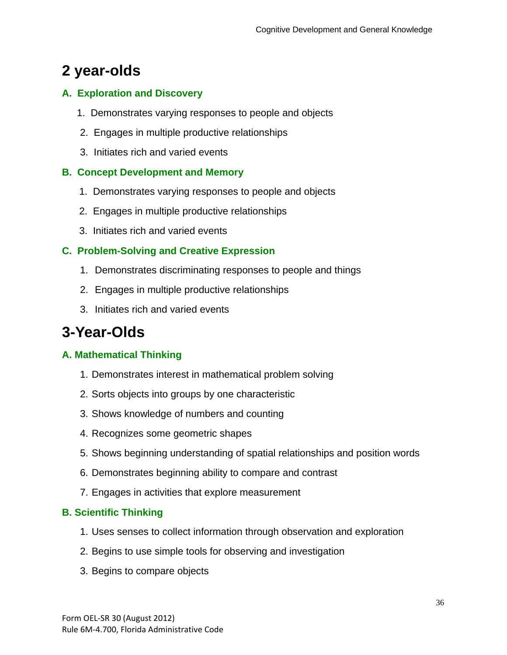## **2 year-olds**

#### **A. Exploration and Discovery**

- 1. Demonstrates varying responses to people and objects
- 2. Engages in multiple productive relationships
- 3. Initiates rich and varied events

#### **B. Concept Development and Memory**

- 1. Demonstrates varying responses to people and objects
- 2. Engages in multiple productive relationships
- 3. Initiates rich and varied events

#### **C. Problem-Solving and Creative Expression**

- 1. Demonstrates discriminating responses to people and things
- 2. Engages in multiple productive relationships
- 3. Initiates rich and varied events

## **3-Year-Olds**

#### **A. Mathematical Thinking**

- 1. Demonstrates interest in mathematical problem solving
- 2. Sorts objects into groups by one characteristic
- 3. Shows knowledge of numbers and counting
- 4. Recognizes some geometric shapes
- 5. Shows beginning understanding of spatial relationships and position words
- 6. Demonstrates beginning ability to compare and contrast
- 7. Engages in activities that explore measurement

#### **B. Scientific Thinking**

- 1. Uses senses to collect information through observation and exploration
- 2. Begins to use simple tools for observing and investigation
- 3. Begins to compare objects